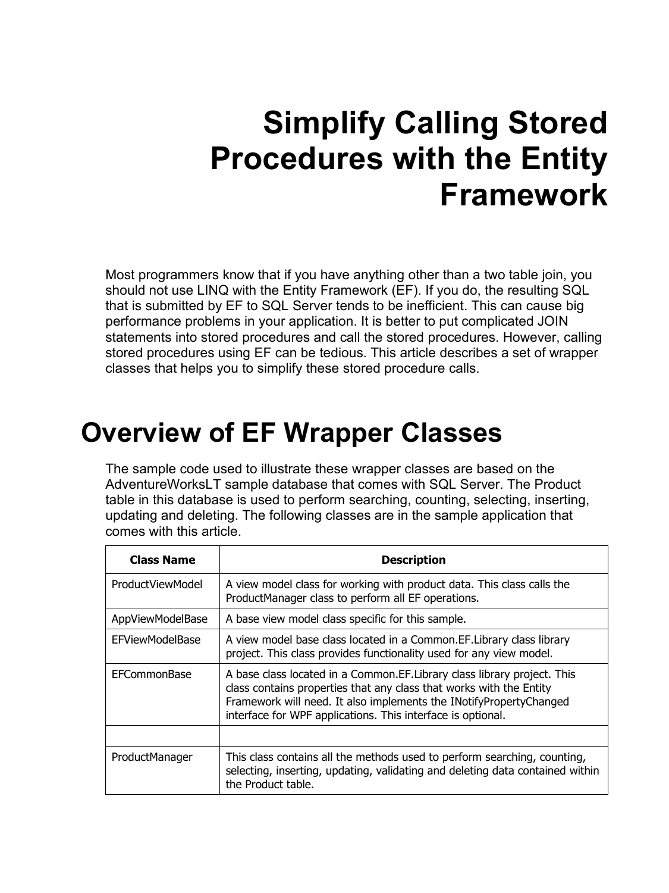# **Simplify Calling Stored Procedures with the Entity Framework**

Most programmers know that if you have anything other than a two table join, you should not use LINQ with the Entity Framework (EF). If you do, the resulting SQL that is submitted by EF to SQL Server tends to be inefficient. This can cause big performance problems in your application. It is better to put complicated JOIN statements into stored procedures and call the stored procedures. However, calling stored procedures using EF can be tedious. This article describes a set of wrapper classes that helps you to simplify these stored procedure calls.

### **Overview of EF Wrapper Classes**

The sample code used to illustrate these wrapper classes are based on the AdventureWorksLT sample database that comes with SQL Server. The Product table in this database is used to perform searching, counting, selecting, inserting, updating and deleting. The following classes are in the sample application that comes with this article.

| <b>Class Name</b>      | <b>Description</b>                                                                                                                                                                                                                                                                    |
|------------------------|---------------------------------------------------------------------------------------------------------------------------------------------------------------------------------------------------------------------------------------------------------------------------------------|
| ProductViewModel       | A view model class for working with product data. This class calls the<br>ProductManager class to perform all EF operations.                                                                                                                                                          |
| AppViewModelBase       | A base view model class specific for this sample.                                                                                                                                                                                                                                     |
| <b>EFViewModelBase</b> | A view model base class located in a Common.EF.Library class library<br>project. This class provides functionality used for any view model.                                                                                                                                           |
| EFCommonBase           | A base class located in a Common. EF. Library class library project. This<br>class contains properties that any class that works with the Entity<br>Framework will need. It also implements the INotifyPropertyChanged<br>interface for WPF applications. This interface is optional. |
|                        |                                                                                                                                                                                                                                                                                       |
| ProductManager         | This class contains all the methods used to perform searching, counting,<br>selecting, inserting, updating, validating and deleting data contained within<br>the Product table.                                                                                                       |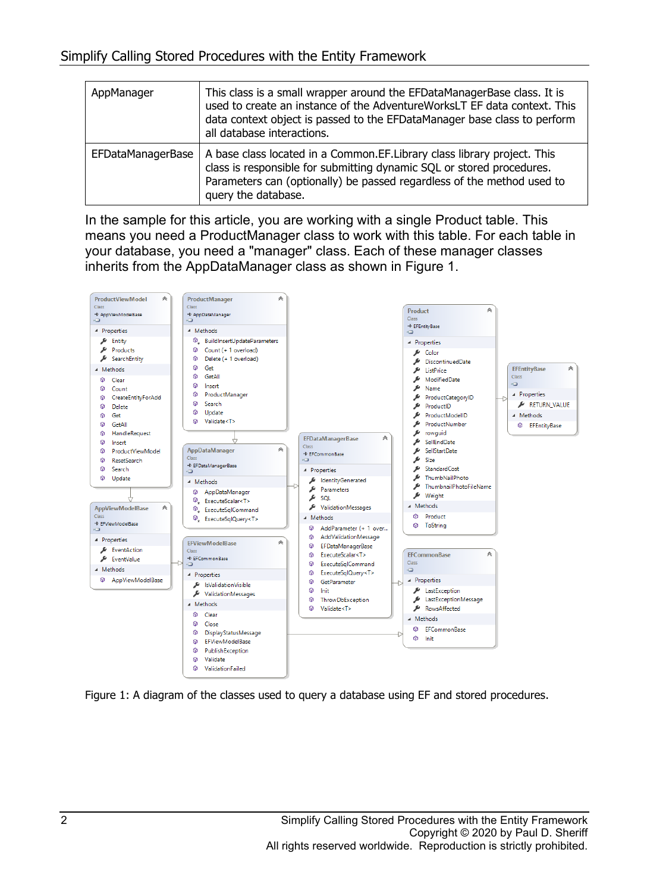| AppManager               | This class is a small wrapper around the EFDataManagerBase class. It is<br>used to create an instance of the AdventureWorksLT EF data context. This<br>data context object is passed to the EFDataManager base class to perform<br>all database interactions. |
|--------------------------|---------------------------------------------------------------------------------------------------------------------------------------------------------------------------------------------------------------------------------------------------------------|
| <b>EFDataManagerBase</b> | A base class located in a Common.EF.Library class library project. This<br>class is responsible for submitting dynamic SQL or stored procedures.<br>Parameters can (optionally) be passed regardless of the method used to<br>query the database.             |

In the sample for this article, you are working with a single Product table. This means you need a ProductManager class to work with this table. For each table in your database, you need a "manager" class. Each of these manager classes inherits from the AppDataManager class as shown in Figure 1.



Figure 1: A diagram of the classes used to query a database using EF and stored procedures.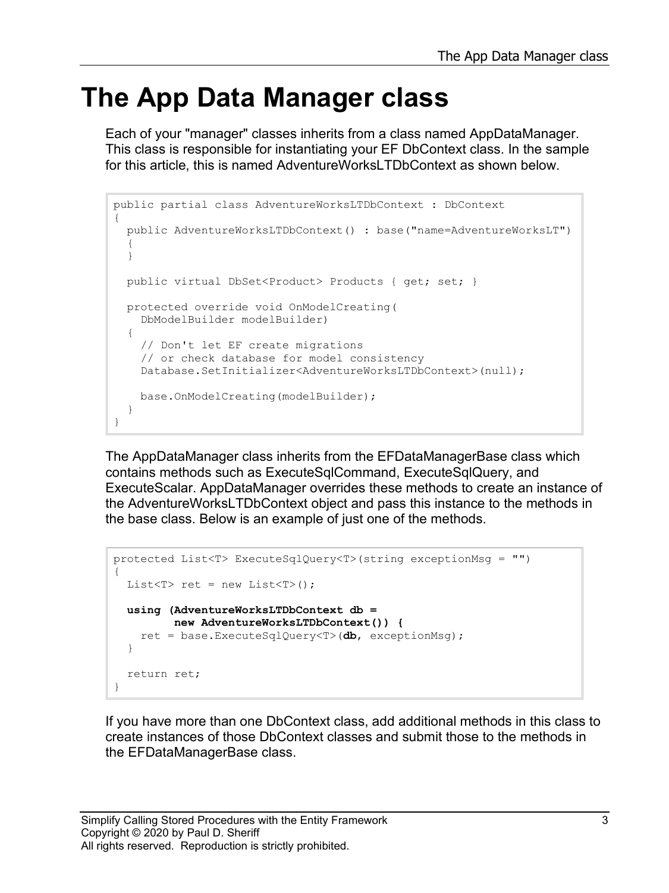## **The App Data Manager class**

Each of your "manager" classes inherits from a class named AppDataManager. This class is responsible for instantiating your EF DbContext class. In the sample for this article, this is named AdventureWorksLTDbContext as shown below.

```
public partial class AdventureWorksLTDbContext : DbContext
{
   public AdventureWorksLTDbContext() : base("name=AdventureWorksLT")
   {
   }
  public virtual DbSet<Product> Products { get; set; }
  protected override void OnModelCreating(
     DbModelBuilder modelBuilder)
   {
     // Don't let EF create migrations
     // or check database for model consistency
     Database.SetInitializer<AdventureWorksLTDbContext>(null);
     base.OnModelCreating(modelBuilder);
   }
}
```
The AppDataManager class inherits from the EFDataManagerBase class which contains methods such as ExecuteSqlCommand, ExecuteSqlQuery, and ExecuteScalar. AppDataManager overrides these methods to create an instance of the AdventureWorksLTDbContext object and pass this instance to the methods in the base class. Below is an example of just one of the methods.

```
protected List<T> ExecuteSqlQuery<T>(string exceptionMsg = "")
\left\{ \right.List<T> ret = new List < T);
   using (AdventureWorksLTDbContext db = 
          new AdventureWorksLTDbContext()) {
     ret = base.ExecuteSqlQuery<T>(db, exceptionMsg);
   }
   return ret;
}
```
If you have more than one DbContext class, add additional methods in this class to create instances of those DbContext classes and submit those to the methods in the EFDataManagerBase class.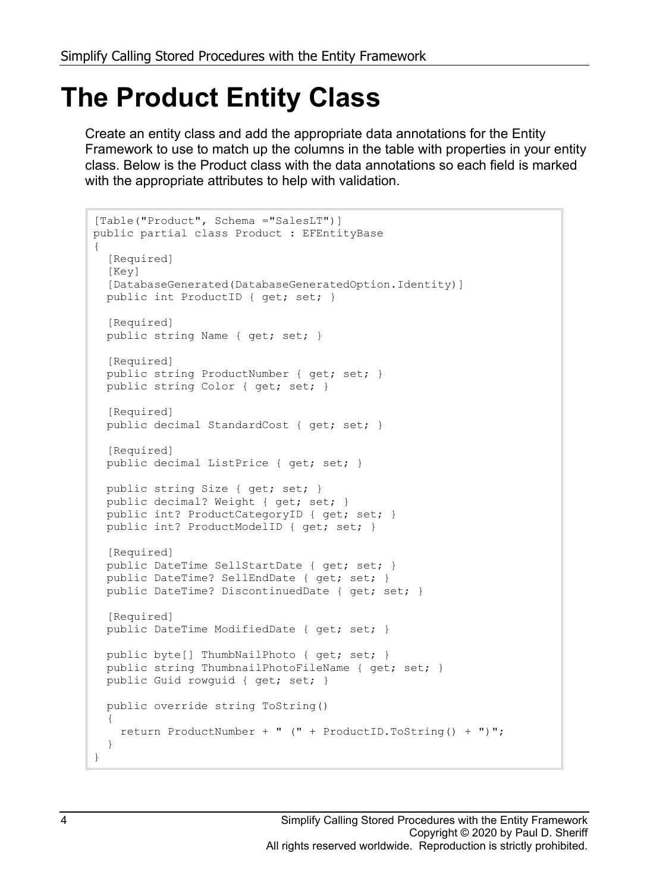## **The Product Entity Class**

Create an entity class and add the appropriate data annotations for the Entity Framework to use to match up the columns in the table with properties in your entity class. Below is the Product class with the data annotations so each field is marked with the appropriate attributes to help with validation.

```
[Table("Product", Schema ="SalesLT")]
public partial class Product : EFEntityBase
{
  [Required]
  [Key]
   [DatabaseGenerated(DatabaseGeneratedOption.Identity)]
   public int ProductID { get; set; }
   [Required]
   public string Name { get; set; }
  [Required]
   public string ProductNumber { get; set; }
   public string Color { get; set; }
   [Required]
  public decimal StandardCost { get; set; }
   [Required]
   public decimal ListPrice { get; set; }
  public string Size { get; set; }
   public decimal? Weight { get; set; }
 public int? ProductCategoryID { get; set; }
  public int? ProductModelID { get; set; }
   [Required]
   public DateTime SellStartDate { get; set; }
   public DateTime? SellEndDate { get; set; }
  public DateTime? DiscontinuedDate { get; set; }
  [Required]
  public DateTime ModifiedDate { get; set; }
  public byte[] ThumbNailPhoto { get; set; }
  public string ThumbnailPhotoFileName { get; set; }
  public Guid rowguid { get; set; }
  public override string ToString()
   {
     return ProductNumber + " (" + ProductID.ToString() + ")";
   }
}
```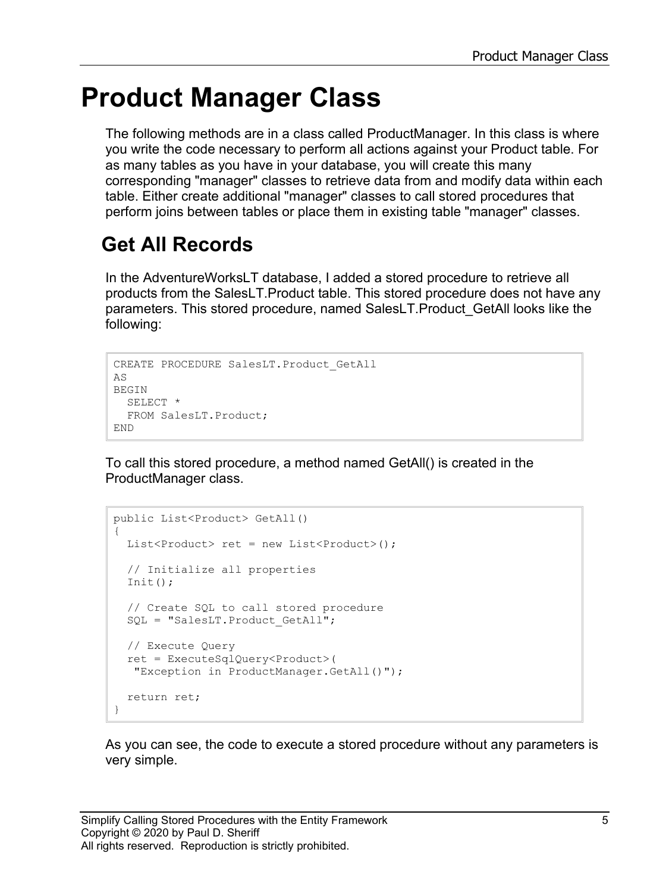## **Product Manager Class**

The following methods are in a class called ProductManager. In this class is where you write the code necessary to perform all actions against your Product table. For as many tables as you have in your database, you will create this many corresponding "manager" classes to retrieve data from and modify data within each table. Either create additional "manager" classes to call stored procedures that perform joins between tables or place them in existing table "manager" classes.

### **Get All Records**

In the AdventureWorksLT database, I added a stored procedure to retrieve all products from the SalesLT.Product table. This stored procedure does not have any parameters. This stored procedure, named SalesLT.Product\_GetAll looks like the following:

```
CREATE PROCEDURE SalesLT.Product_GetAll
AS
BEGIN
  SELECT *
  FROM SalesLT.Product;
END
```
To call this stored procedure, a method named GetAll() is created in the ProductManager class.

```
public List<Product> GetAll()
{
 List<Product> ret = new List<Product>();
  // Initialize all properties
  Init();
  // Create SQL to call stored procedure
 SQL = "SalesLT. Product GetAll";
  // Execute Query
  ret = ExecuteSqlQuery<Product>(
    "Exception in ProductManager.GetAll()");
  return ret;
}
```
As you can see, the code to execute a stored procedure without any parameters is very simple.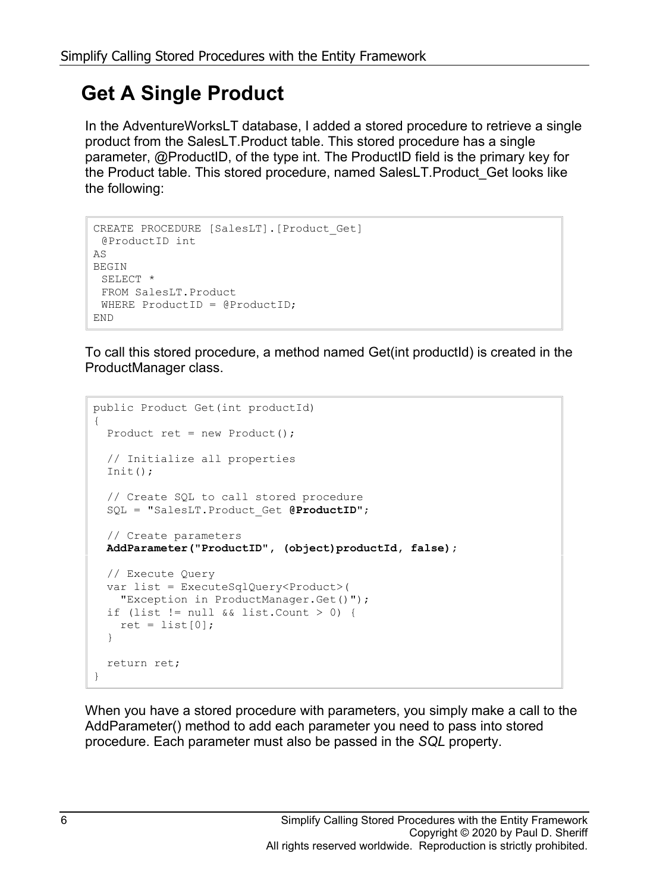### **Get A Single Product**

In the AdventureWorksLT database, I added a stored procedure to retrieve a single product from the SalesLT.Product table. This stored procedure has a single parameter, @ProductID, of the type int. The ProductID field is the primary key for the Product table. This stored procedure, named SalesLT.Product\_Get looks like the following:

```
CREATE PROCEDURE [SalesLT].[Product_Get]
@ProductID int
AS
BEGIN
 SELECT *
 FROM SalesLT.Product
 WHERE ProductID = @ProductID;
END
```
To call this stored procedure, a method named Get(int productId) is created in the ProductManager class.

```
public Product Get(int productId)
{
   Product ret = new Product();
   // Initialize all properties
  Init();
   // Create SQL to call stored procedure
   SQL = "SalesLT.Product_Get @ProductID";
   // Create parameters
   AddParameter("ProductID", (object)productId, false);
   // Execute Query
   var list = ExecuteSqlQuery<Product>(
    "Exception in ProductManager.Get()");
  if (list != null &\& list. Count > 0) {
   ret = list[0]; }
   return ret;
}
```
When you have a stored procedure with parameters, you simply make a call to the AddParameter() method to add each parameter you need to pass into stored procedure. Each parameter must also be passed in the *SQL* property.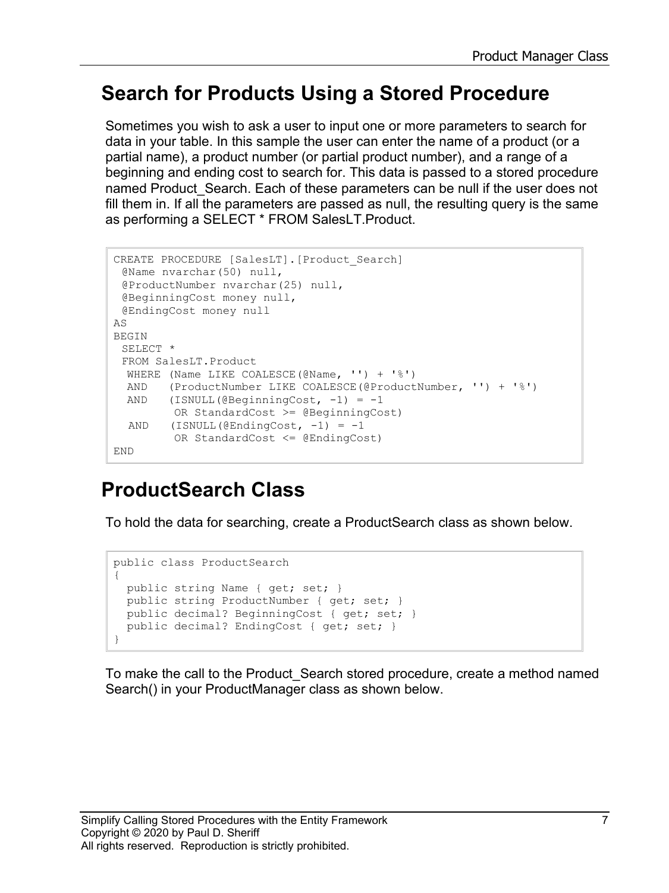#### **Search for Products Using a Stored Procedure**

Sometimes you wish to ask a user to input one or more parameters to search for data in your table. In this sample the user can enter the name of a product (or a partial name), a product number (or partial product number), and a range of a beginning and ending cost to search for. This data is passed to a stored procedure named Product\_Search. Each of these parameters can be null if the user does not fill them in. If all the parameters are passed as null, the resulting query is the same as performing a SELECT \* FROM SalesLT.Product.

```
CREATE PROCEDURE [SalesLT].[Product_Search]
 @Name nvarchar(50) null,
 @ProductNumber nvarchar(25) null,
 @BeginningCost money null,
 @EndingCost money null
AS
BEGIN
 SELECT *
 FROM SalesLT.Product
  WHERE (Name LIKE COALESCE(@Name, '') + '%') 
  AND (ProductNumber LIKE COALESCE(@ProductNumber, '') + '%')
 AND (ISNULL(@BeginningCost, -1) = -1 OR StandardCost >= @BeginningCost)
 AND (ISNULL(\text{CEndingCost}, -1) = -1) OR StandardCost <= @EndingCost)
END
```
#### **ProductSearch Class**

To hold the data for searching, create a ProductSearch class as shown below.

```
public class ProductSearch
{
  public string Name { get; set; }
  public string ProductNumber { get; set; }
  public decimal? BeginningCost { get; set; }
 public decimal? EndingCost { get; set; }
}
```
To make the call to the Product\_Search stored procedure, create a method named Search() in your ProductManager class as shown below.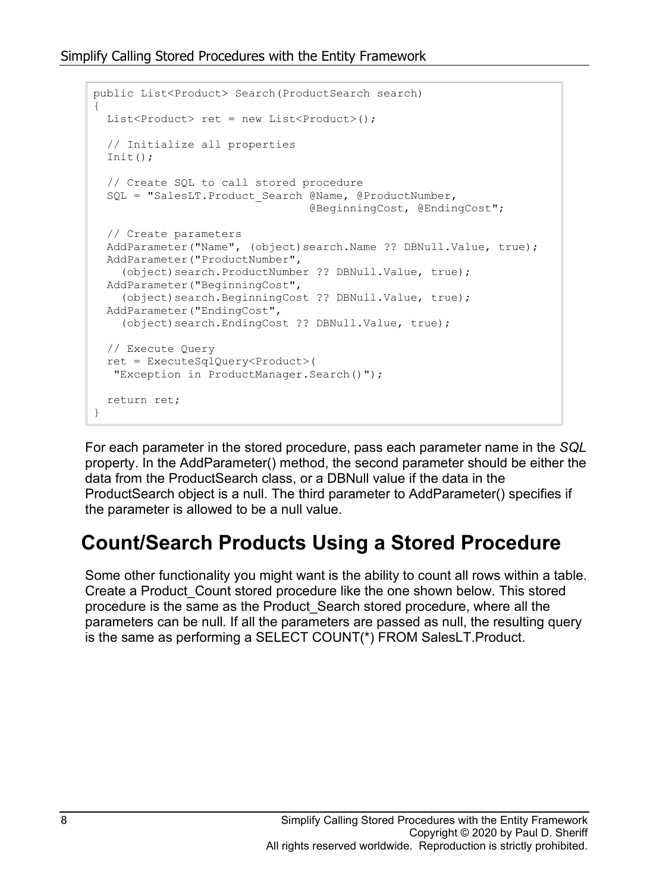```
public List<Product> Search(ProductSearch search)
{
  List<Product> ret = new List<Product>();
   // Initialize all properties
  Init();
   // Create SQL to call stored procedure
  SQL = "SalesLT. Product Search @Name, @ProductNumber,
                                  @BeginningCost, @EndingCost";
   // Create parameters
  AddParameter("Name", (object)search.Name ?? DBNull.Value, true);
  AddParameter("ProductNumber", 
     (object)search.ProductNumber ?? DBNull.Value, true);
   AddParameter("BeginningCost", 
     (object)search.BeginningCost ?? DBNull.Value, true);
  AddParameter("EndingCost", 
     (object)search.EndingCost ?? DBNull.Value, true);
  // Execute Query
   ret = ExecuteSqlQuery<Product>(
   "Exception in ProductManager.Search()");
   return ret;
}
```
For each parameter in the stored procedure, pass each parameter name in the *SQL* property. In the AddParameter() method, the second parameter should be either the data from the ProductSearch class, or a DBNull value if the data in the ProductSearch object is a null. The third parameter to AddParameter() specifies if the parameter is allowed to be a null value.

### **Count/Search Products Using a Stored Procedure**

Some other functionality you might want is the ability to count all rows within a table. Create a Product\_Count stored procedure like the one shown below. This stored procedure is the same as the Product\_Search stored procedure, where all the parameters can be null. If all the parameters are passed as null, the resulting query is the same as performing a SELECT COUNT(\*) FROM SalesLT.Product.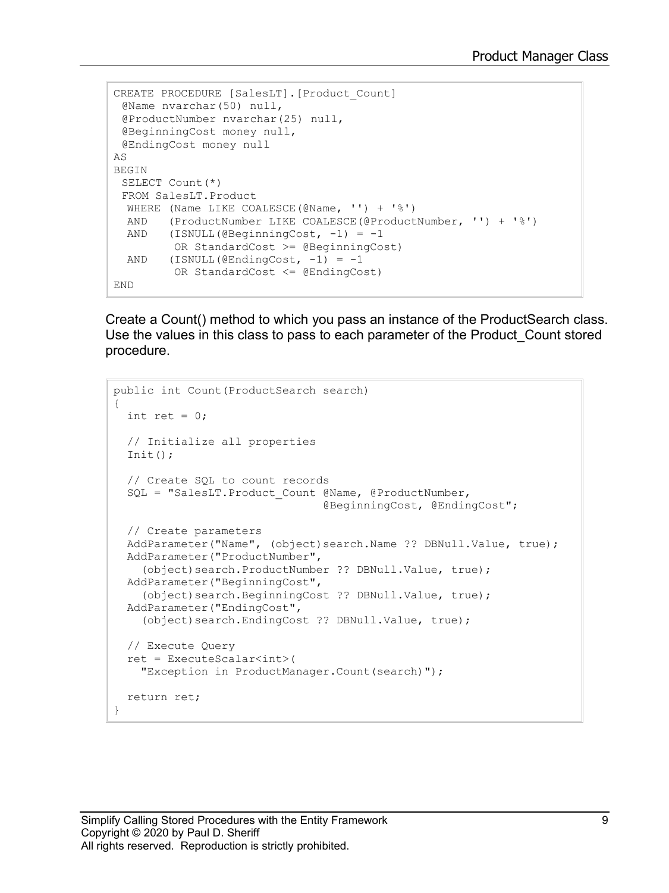```
CREATE PROCEDURE [SalesLT].[Product_Count]
 @Name nvarchar(50) null,
 @ProductNumber nvarchar(25) null,
 @BeginningCost money null,
 @EndingCost money null
AS
BEGIN
 SELECT Count(*)
 FROM SalesLT.Product
  WHERE (Name LIKE COALESCE(@Name, ''] + '%')<br>AND (ProductNumber LIKE COALESCE(@ProductAND (ProductNumber LIKE COALESCE(@ProductNumber, '') + '%')<br>AND (ISNULL(@BeginningCost, -1) = -1
       (ISNULL(@BeginningCost, -1) = -1) OR StandardCost >= @BeginningCost)
 AND (ISNULL(@EndingCost, -1) = -1) OR StandardCost <= @EndingCost)
END
```
Create a Count() method to which you pass an instance of the ProductSearch class. Use the values in this class to pass to each parameter of the Product\_Count stored procedure.

```
public int Count(ProductSearch search)
{
  int ret = 0;
   // Initialize all properties
  Init();
   // Create SQL to count records
   SQL = "SalesLT.Product_Count @Name, @ProductNumber,
                                 @BeginningCost, @EndingCost";
   // Create parameters
  AddParameter("Name", (object)search.Name ?? DBNull.Value, true);
   AddParameter("ProductNumber",
     (object)search.ProductNumber ?? DBNull.Value, true);
  AddParameter("BeginningCost",
    (object)search.BeginningCost ?? DBNull.Value, true);
  AddParameter("EndingCost",
    (object)search.EndingCost ?? DBNull.Value, true);
   // Execute Query
   ret = ExecuteScalar<int>(
     "Exception in ProductManager.Count(search)");
   return ret;
}
```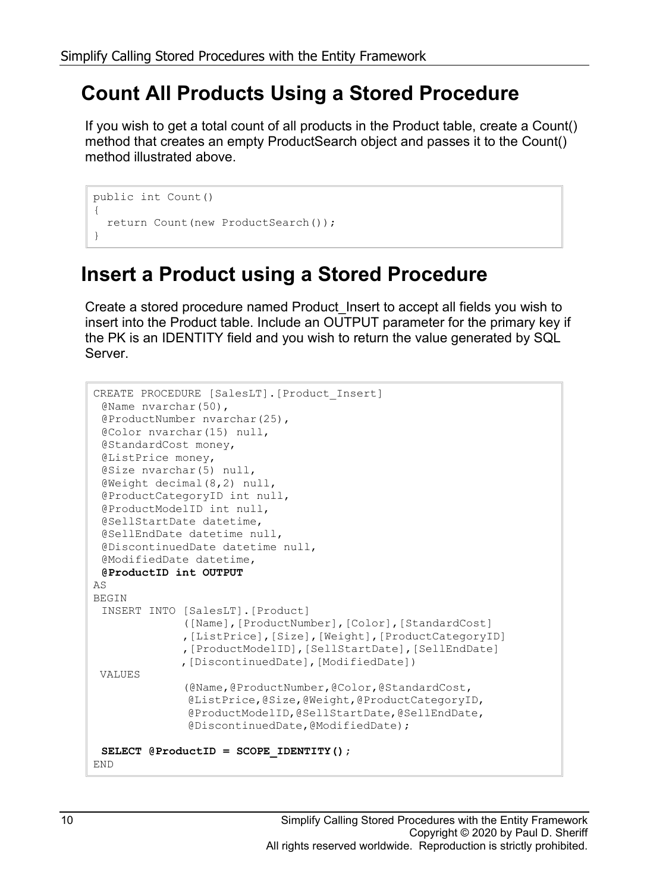### **Count All Products Using a Stored Procedure**

If you wish to get a total count of all products in the Product table, create a Count() method that creates an empty ProductSearch object and passes it to the Count() method illustrated above.

```
public int Count()
{
   return Count(new ProductSearch());
}
```
### **Insert a Product using a Stored Procedure**

Create a stored procedure named Product\_Insert to accept all fields you wish to insert into the Product table. Include an OUTPUT parameter for the primary key if the PK is an IDENTITY field and you wish to return the value generated by SQL Server.

```
CREATE PROCEDURE [SalesLT].[Product_Insert]
 @Name nvarchar(50),
 @ProductNumber nvarchar(25),
 @Color nvarchar(15) null,
 @StandardCost money,
 @ListPrice money,
 @Size nvarchar(5) null,
 @Weight decimal(8,2) null,
 @ProductCategoryID int null,
 @ProductModelID int null,
 @SellStartDate datetime,
 @SellEndDate datetime null,
 @DiscontinuedDate datetime null,
 @ModifiedDate datetime,
 @ProductID int OUTPUT
AS
BEGIN
 INSERT INTO [SalesLT].[Product]
              ([Name],[ProductNumber],[Color],[StandardCost]
               ,[ListPrice],[Size],[Weight],[ProductCategoryID]
               ,[ProductModelID],[SellStartDate],[SellEndDate]
              ,[DiscontinuedDate],[ModifiedDate])
 VALUES
               (@Name,@ProductNumber,@Color,@StandardCost,
               @ListPrice,@Size,@Weight,@ProductCategoryID,
               @ProductModelID,@SellStartDate,@SellEndDate,
               @DiscontinuedDate,@ModifiedDate);
 SELECT @ProductID = SCOPE IDENTITY();
END
```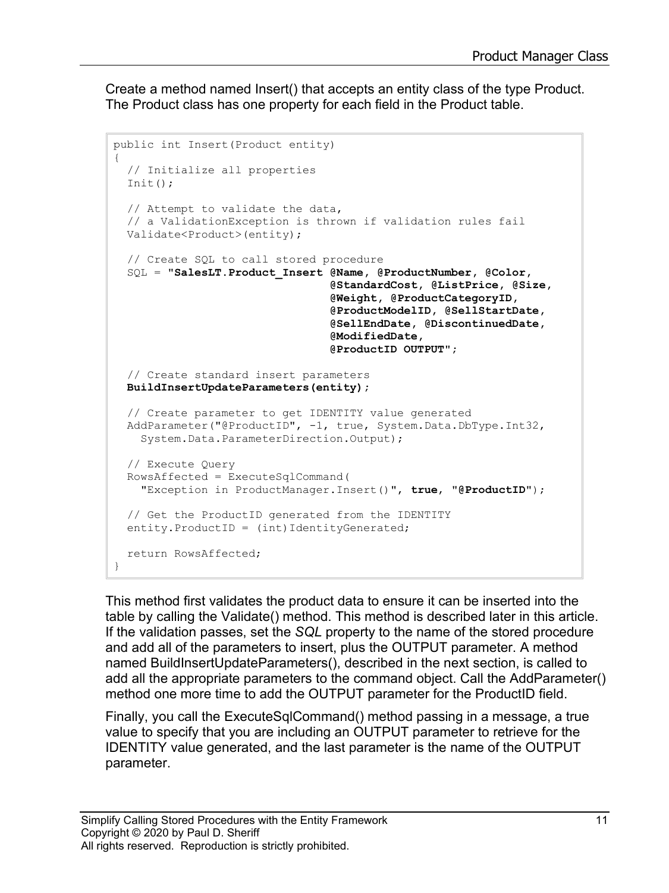Create a method named Insert() that accepts an entity class of the type Product. The Product class has one property for each field in the Product table.

```
public int Insert(Product entity)
{
   // Initialize all properties
 Init();
   // Attempt to validate the data,
  // a ValidationException is thrown if validation rules fail
  Validate<Product>(entity);
   // Create SQL to call stored procedure
   SQL = "SalesLT.Product_Insert @Name, @ProductNumber, @Color,
                                  @StandardCost, @ListPrice, @Size,
                                 @Weight, @ProductCategoryID,
                                 @ProductModelID, @SellStartDate,
                                 @SellEndDate, @DiscontinuedDate,
                                 @ModifiedDate, 
                                  @ProductID OUTPUT";
   // Create standard insert parameters
  BuildInsertUpdateParameters(entity);
   // Create parameter to get IDENTITY value generated
  AddParameter("@ProductID", -1, true, System.Data.DbType.Int32,
     System.Data.ParameterDirection.Output);
   // Execute Query
  RowsAffected = ExecuteSqlCommand(
     "Exception in ProductManager.Insert()", true, "@ProductID");
   // Get the ProductID generated from the IDENTITY 
  entity. ProductID = (int) IdentityGenerated;
  return RowsAffected;
}
```
This method first validates the product data to ensure it can be inserted into the table by calling the Validate() method. This method is described later in this article. If the validation passes, set the *SQL* property to the name of the stored procedure and add all of the parameters to insert, plus the OUTPUT parameter. A method named BuildInsertUpdateParameters(), described in the next section, is called to add all the appropriate parameters to the command object. Call the AddParameter() method one more time to add the OUTPUT parameter for the ProductID field.

Finally, you call the ExecuteSqlCommand() method passing in a message, a true value to specify that you are including an OUTPUT parameter to retrieve for the IDENTITY value generated, and the last parameter is the name of the OUTPUT parameter.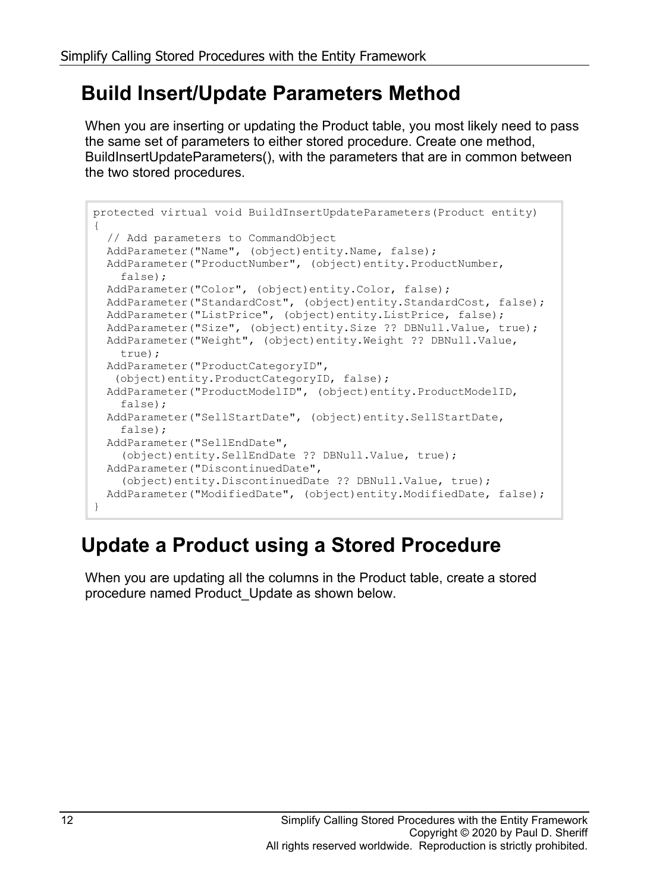### **Build Insert/Update Parameters Method**

When you are inserting or updating the Product table, you most likely need to pass the same set of parameters to either stored procedure. Create one method, BuildInsertUpdateParameters(), with the parameters that are in common between the two stored procedures.

```
protected virtual void BuildInsertUpdateParameters(Product entity)
{
   // Add parameters to CommandObject
  AddParameter("Name", (object)entity.Name, false);
  AddParameter("ProductNumber", (object)entity.ProductNumber,
    false);
  AddParameter("Color", (object)entity.Color, false);
  AddParameter("StandardCost", (object)entity.StandardCost, false);
  AddParameter("ListPrice", (object)entity.ListPrice, false);
  AddParameter("Size", (object)entity.Size ?? DBNull.Value, true);
  AddParameter("Weight", (object)entity.Weight ?? DBNull.Value,
    true);
  AddParameter("ProductCategoryID",
    (object)entity.ProductCategoryID, false);
  AddParameter("ProductModelID", (object)entity.ProductModelID,
    false);
  AddParameter("SellStartDate", (object)entity.SellStartDate,
    false);
  AddParameter("SellEndDate", 
     (object)entity.SellEndDate ?? DBNull.Value, true);
  AddParameter("DiscontinuedDate", 
     (object)entity.DiscontinuedDate ?? DBNull.Value, true);
  AddParameter("ModifiedDate", (object)entity.ModifiedDate, false);
}
```
### **Update a Product using a Stored Procedure**

When you are updating all the columns in the Product table, create a stored procedure named Product\_Update as shown below.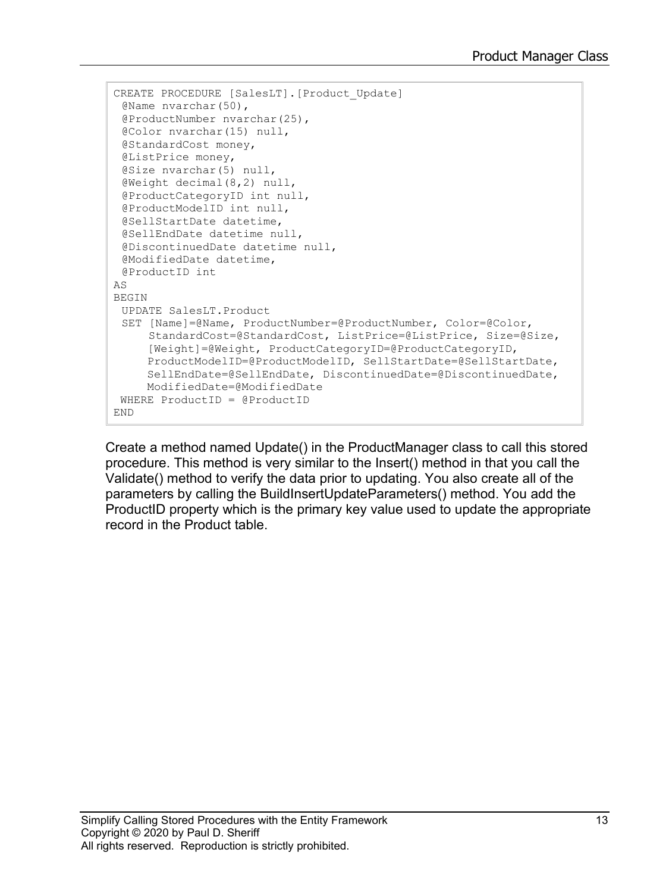```
CREATE PROCEDURE [SalesLT].[Product_Update]
 @Name nvarchar(50),
 @ProductNumber nvarchar(25),
 @Color nvarchar(15) null,
 @StandardCost money,
 @ListPrice money,
 @Size nvarchar(5) null,
 @Weight decimal(8,2) null,
 @ProductCategoryID int null,
 @ProductModelID int null,
 @SellStartDate datetime,
 @SellEndDate datetime null,
 @DiscontinuedDate datetime null,
 @ModifiedDate datetime,
 @ProductID int
AS
BEGIN
 UPDATE SalesLT.Product 
 SET [Name]=@Name, ProductNumber=@ProductNumber, Color=@Color, 
      StandardCost=@StandardCost, ListPrice=@ListPrice, Size=@Size,
      [Weight]=@Weight, ProductCategoryID=@ProductCategoryID,
      ProductModelID=@ProductModelID, SellStartDate=@SellStartDate,
      SellEndDate=@SellEndDate, DiscontinuedDate=@DiscontinuedDate,
     ModifiedDate=@ModifiedDate 
WHERE ProductID = @ProductID
END
```
Create a method named Update() in the ProductManager class to call this stored procedure. This method is very similar to the Insert() method in that you call the Validate() method to verify the data prior to updating. You also create all of the parameters by calling the BuildInsertUpdateParameters() method. You add the ProductID property which is the primary key value used to update the appropriate record in the Product table.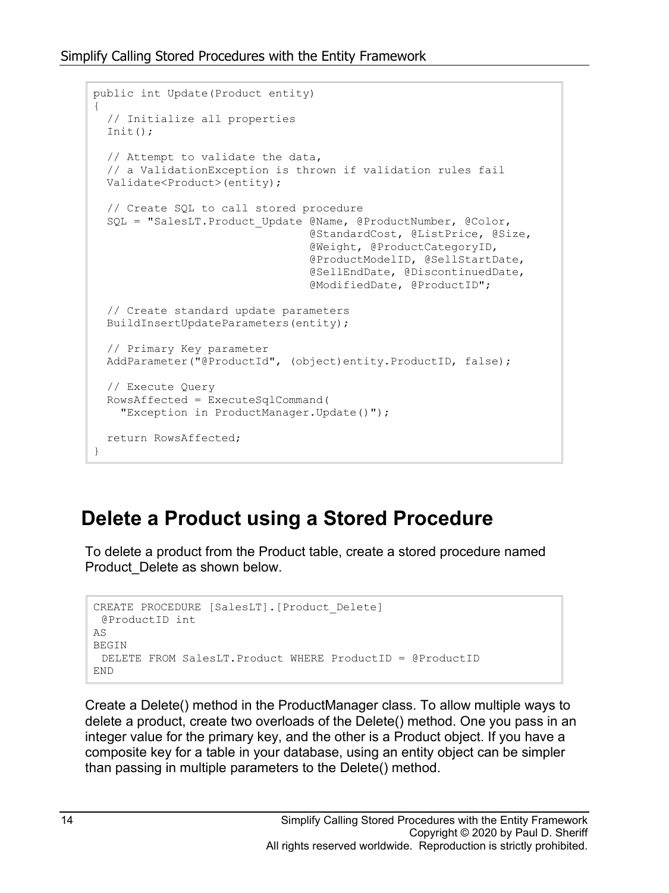```
public int Update(Product entity)
{
   // Initialize all properties
  Init();
   // Attempt to validate the data, 
   // a ValidationException is thrown if validation rules fail
  Validate<Product>(entity);
   // Create SQL to call stored procedure
  SQL = "SalesLT. Product Update @Name, @ProductNumber, @Color,
                                  @StandardCost, @ListPrice, @Size,
                                 @Weight, @ProductCategoryID,
                                 @ProductModelID, @SellStartDate,
                                 @SellEndDate, @DiscontinuedDate,
                                 @ModifiedDate, @ProductID";
   // Create standard update parameters
   BuildInsertUpdateParameters(entity);
   // Primary Key parameter
  AddParameter("@ProductId", (object)entity.ProductID, false);
   // Execute Query
   RowsAffected = ExecuteSqlCommand(
     "Exception in ProductManager.Update()");
  return RowsAffected;
}
```
#### **Delete a Product using a Stored Procedure**

To delete a product from the Product table, create a stored procedure named Product\_Delete as shown below.

```
CREATE PROCEDURE [SalesLT].[Product_Delete]
 @ProductID int
AS
BEGIN
 DELETE FROM SalesLT.Product WHERE ProductID = @ProductID
END
```
Create a Delete() method in the ProductManager class. To allow multiple ways to delete a product, create two overloads of the Delete() method. One you pass in an integer value for the primary key, and the other is a Product object. If you have a composite key for a table in your database, using an entity object can be simpler than passing in multiple parameters to the Delete() method.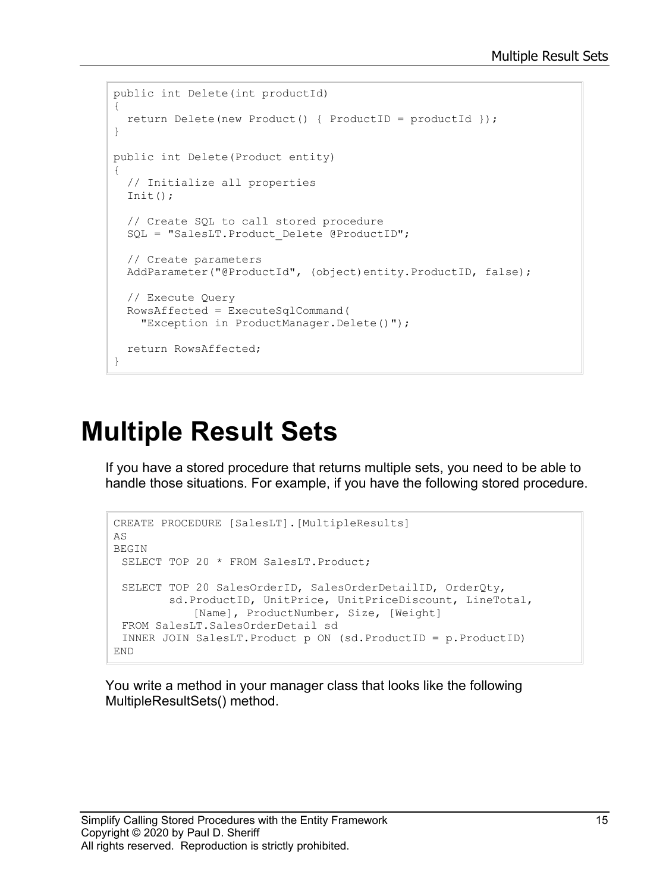```
public int Delete(int productId)
{
  return Delete(new Product() { ProductID = productId });
}
public int Delete(Product entity)
{
   // Initialize all properties
 Init();
   // Create SQL to call stored procedure
 SQL = "SalesLT. Product Delete @ProductID";
  // Create parameters
  AddParameter("@ProductId", (object)entity.ProductID, false);
   // Execute Query
  RowsAffected = ExecuteSqlCommand(
    "Exception in ProductManager.Delete()");
  return RowsAffected;
}
```
### **Multiple Result Sets**

If you have a stored procedure that returns multiple sets, you need to be able to handle those situations. For example, if you have the following stored procedure.

```
CREATE PROCEDURE [SalesLT].[MultipleResults]
AS
BEGIN
 SELECT TOP 20 * FROM SalesLT. Product;
 SELECT TOP 20 SalesOrderID, SalesOrderDetailID, OrderQty,
         sd.ProductID, UnitPrice, UnitPriceDiscount, LineTotal,
             [Name], ProductNumber, Size, [Weight]
 FROM SalesLT.SalesOrderDetail sd
 INNER JOIN SalesLT.Product p ON (sd.ProductID = p.ProductID)
END
```
You write a method in your manager class that looks like the following MultipleResultSets() method.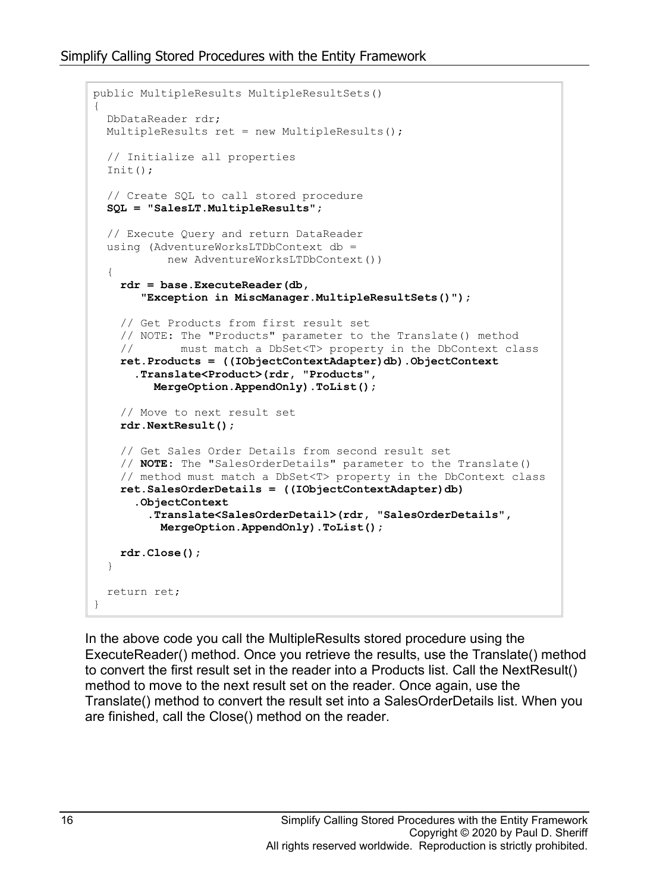```
public MultipleResults MultipleResultSets()
{
   DbDataReader rdr;
   MultipleResults ret = new MultipleResults();
   // Initialize all properties
   Init();
   // Create SQL to call stored procedure
   SQL = "SalesLT.MultipleResults";
   // Execute Query and return DataReader
   using (AdventureWorksLTDbContext db = 
            new AdventureWorksLTDbContext())
   {
     rdr = base.ExecuteReader(db, 
        "Exception in MiscManager.MultipleResultSets()");
     // Get Products from first result set
    // NOTE: The "Products" parameter to the Translate() method<br>// must match a DbSet<T> property in the DbContext cla
             must match a DbSet<T> property in the DbContext class
     ret.Products = ((IObjectContextAdapter)db).ObjectContext
       .Translate<Product>(rdr, "Products",
          MergeOption.AppendOnly).ToList();
     // Move to next result set
     rdr.NextResult();
     // Get Sales Order Details from second result set
     // NOTE: The "SalesOrderDetails" parameter to the Translate()
     // method must match a DbSet<T> property in the DbContext class
     ret.SalesOrderDetails = ((IObjectContextAdapter)db)
       .ObjectContext
          .Translate<SalesOrderDetail>(rdr, "SalesOrderDetails",
           MergeOption.AppendOnly).ToList();
     rdr.Close();
   }
   return ret;
}
```
In the above code you call the MultipleResults stored procedure using the ExecuteReader() method. Once you retrieve the results, use the Translate() method to convert the first result set in the reader into a Products list. Call the NextResult() method to move to the next result set on the reader. Once again, use the Translate() method to convert the result set into a SalesOrderDetails list. When you are finished, call the Close() method on the reader.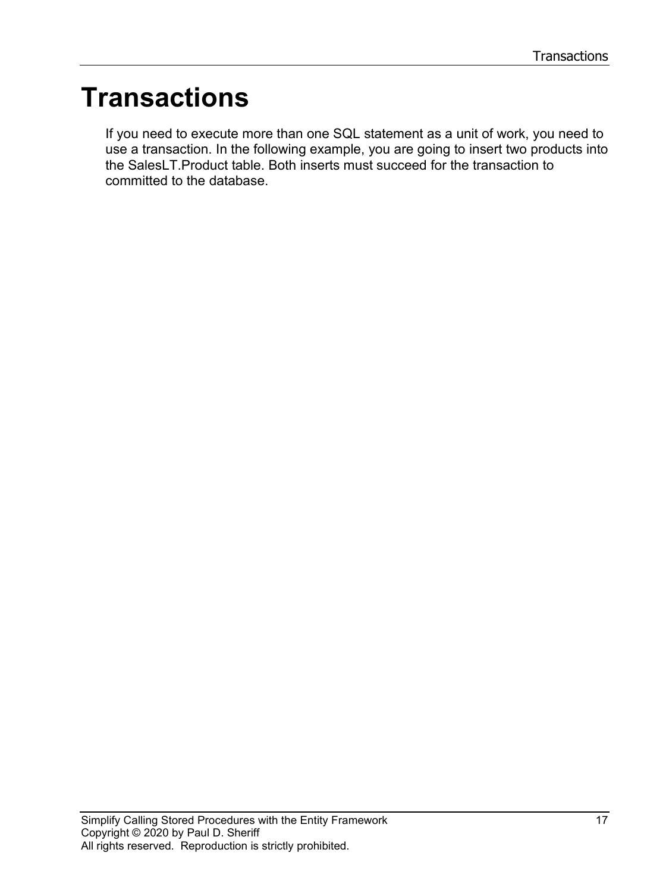## **Transactions**

If you need to execute more than one SQL statement as a unit of work, you need to use a transaction. In the following example, you are going to insert two products into the SalesLT.Product table. Both inserts must succeed for the transaction to committed to the database.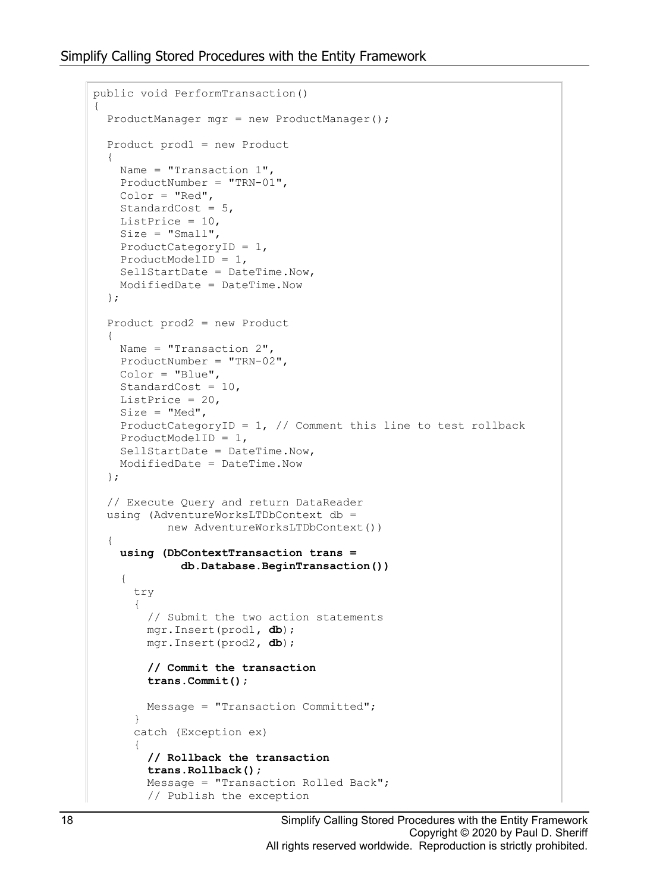```
public void PerformTransaction()
{
   ProductManager mgr = new ProductManager();
   Product prod1 = new Product
\{Name = "Transaction 1",
    ProductNumber = "TRN-01",
    Color = "Red",
    StandardCost = 5,
    ListPrice = 10,
   Size = "Small", ProductCategoryID = 1,
    ProductModelID = 1,
    SellStartDate = DateTime.Now,
    ModifiedDate = DateTime.Now
   };
   Product prod2 = new Product
   {
   Name = "Transaction 2", ProductNumber = "TRN-02",
    Color = "Blue",
    StandardCost = 10,
   ListPrice = 20,
   Size = "Med",ProductCategoryID = 1, // Comment this line to test rollback
    ProductModelID = 1,
    SellStartDate = DateTime.Now,
    ModifiedDate = DateTime.Now
   };
   // Execute Query and return DataReader
   using (AdventureWorksLTDbContext db =
            new AdventureWorksLTDbContext())
\{ using (DbContextTransaction trans =
              db.Database.BeginTransaction())
     {
       try
       {
         // Submit the two action statements
         mgr.Insert(prod1, db);
         mgr.Insert(prod2, db);
         // Commit the transaction
         trans.Commit();
         Message = "Transaction Committed";
       }
       catch (Exception ex)
       {
         // Rollback the transaction
         trans.Rollback();
         Message = "Transaction Rolled Back";
         // Publish the exception
```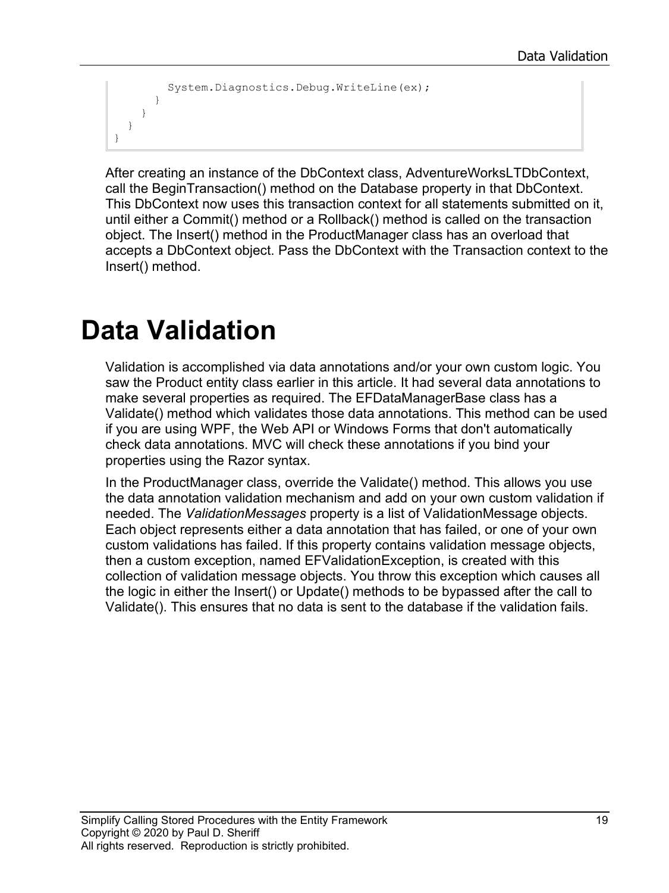```
 System.Diagnostics.Debug.WriteLine(ex);
     }
   }
 }
```
After creating an instance of the DbContext class, AdventureWorksLTDbContext, call the BeginTransaction() method on the Database property in that DbContext. This DbContext now uses this transaction context for all statements submitted on it, until either a Commit() method or a Rollback() method is called on the transaction object. The Insert() method in the ProductManager class has an overload that accepts a DbContext object. Pass the DbContext with the Transaction context to the Insert() method.

## **Data Validation**

}

Validation is accomplished via data annotations and/or your own custom logic. You saw the Product entity class earlier in this article. It had several data annotations to make several properties as required. The EFDataManagerBase class has a Validate() method which validates those data annotations. This method can be used if you are using WPF, the Web API or Windows Forms that don't automatically check data annotations. MVC will check these annotations if you bind your properties using the Razor syntax.

In the ProductManager class, override the Validate() method. This allows you use the data annotation validation mechanism and add on your own custom validation if needed. The *ValidationMessages* property is a list of ValidationMessage objects. Each object represents either a data annotation that has failed, or one of your own custom validations has failed. If this property contains validation message objects, then a custom exception, named EFValidationException, is created with this collection of validation message objects. You throw this exception which causes all the logic in either the Insert() or Update() methods to be bypassed after the call to Validate(). This ensures that no data is sent to the database if the validation fails.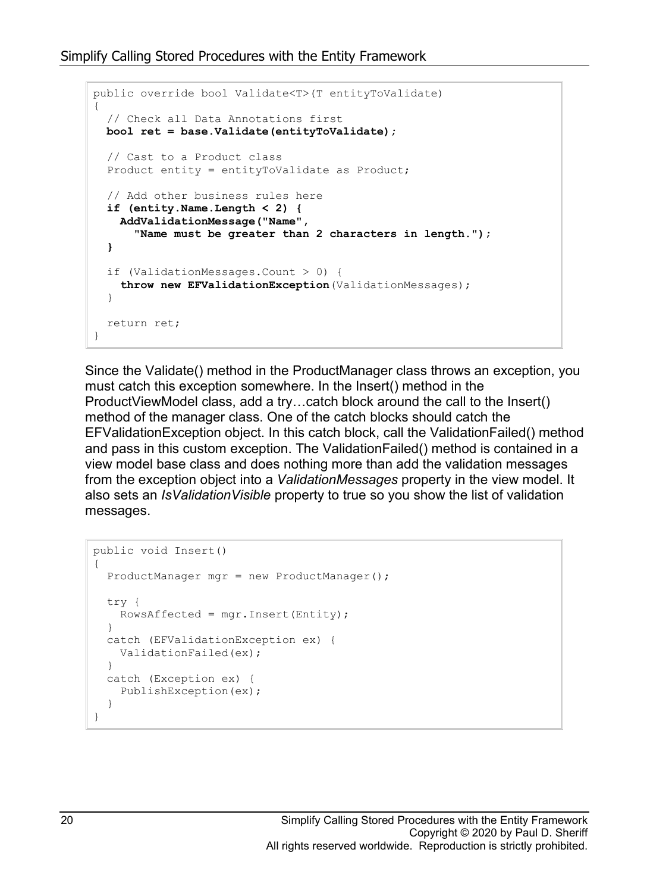```
public override bool Validate<T>(T entityToValidate)
{
   // Check all Data Annotations first
 bool ret = base.Validate(entityToValidate);
   // Cast to a Product class
   Product entity = entityToValidate as Product;
   // Add other business rules here
   if (entity.Name.Length < 2) {
     AddValidationMessage("Name", 
       "Name must be greater than 2 characters in length.");
   }
   if (ValidationMessages.Count > 0) {
     throw new EFValidationException(ValidationMessages);
   }
  return ret;
}
```
Since the Validate() method in the ProductManager class throws an exception, you must catch this exception somewhere. In the Insert() method in the ProductViewModel class, add a try…catch block around the call to the Insert() method of the manager class. One of the catch blocks should catch the EFValidationException object. In this catch block, call the ValidationFailed() method and pass in this custom exception. The ValidationFailed() method is contained in a view model base class and does nothing more than add the validation messages from the exception object into a *ValidationMessages* property in the view model. It also sets an *IsValidationVisible* property to true so you show the list of validation messages.

```
public void Insert()
{
   ProductManager mgr = new ProductManager();
   try {
   RowsAffected = mgr. Insert (Entity) ;
   }
   catch (EFValidationException ex) {
    ValidationFailed(ex);
   }
   catch (Exception ex) {
    PublishException(ex);
   }
}
```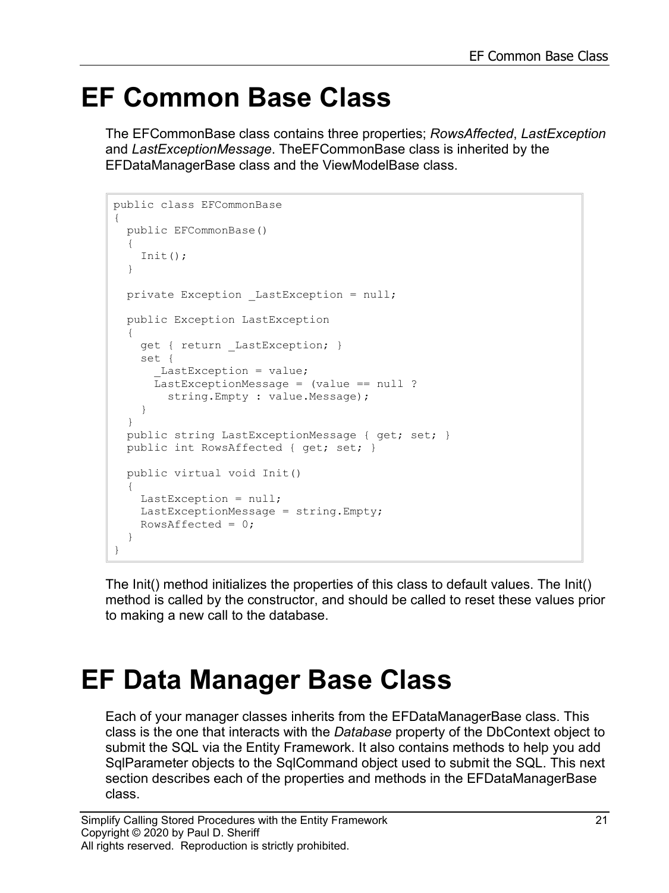### **EF Common Base Class**

The EFCommonBase class contains three properties; *RowsAffected*, *LastException* and *LastExceptionMessage*. TheEFCommonBase class is inherited by the EFDataManagerBase class and the ViewModelBase class.

```
public class EFCommonBase
{
  public EFCommonBase()
   {
    Init();
   }
 private Exception LastException = null;
  public Exception LastException 
\{get { return LastException; }
     set {
      LastException = value;
      LastExceptionMessage = (value == null ? 
         string.Empty : value.Message);
     }
   }
  public string LastExceptionMessage { get; set; }
 public int RowsAffected { get; set; }
  public virtual void Init()
\{LastException = null; LastExceptionMessage = string.Empty;
   RowsAffected = 0;
   }
}
```
The Init() method initializes the properties of this class to default values. The Init() method is called by the constructor, and should be called to reset these values prior to making a new call to the database.

### **EF Data Manager Base Class**

Each of your manager classes inherits from the EFDataManagerBase class. This class is the one that interacts with the *Database* property of the DbContext object to submit the SQL via the Entity Framework. It also contains methods to help you add SqlParameter objects to the SqlCommand object used to submit the SQL. This next section describes each of the properties and methods in the EFDataManagerBase class.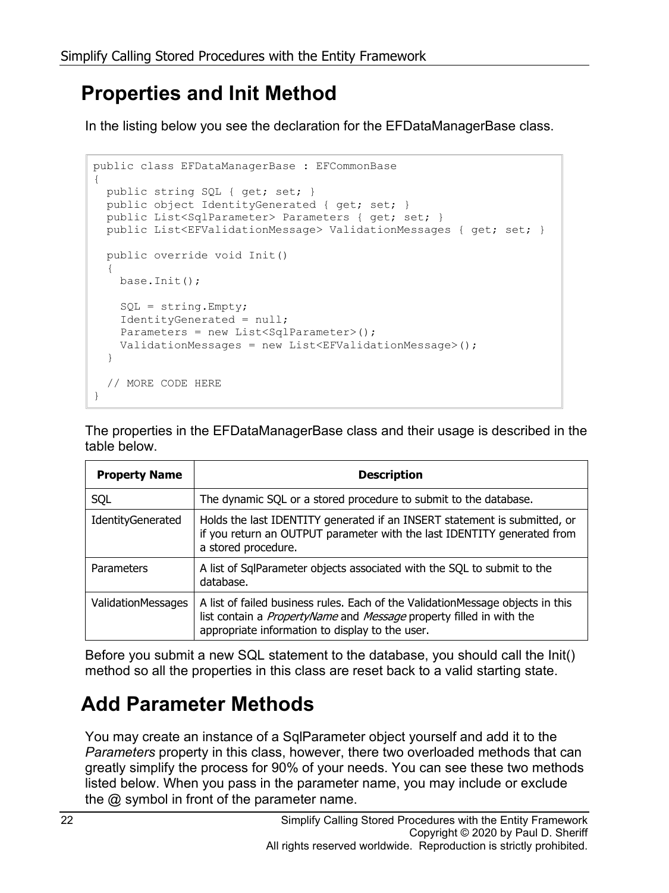### **Properties and Init Method**

In the listing below you see the declaration for the EFDataManagerBase class.

```
public class EFDataManagerBase : EFCommonBase
{
 public string SQL { get; set; }
  public object IdentityGenerated { get; set; }
  public List<SqlParameter> Parameters { get; set; }
  public List<EFValidationMessage> ValidationMessages { get; set; }
   public override void Init()
   {
    base.Init();
   SQL = string.Fmpty; IdentityGenerated = null;
   Parameters = new List<SqlParameter>();
    ValidationMessages = new List<EFValidationMessage>();
   }
   // MORE CODE HERE
}
```
The properties in the EFDataManagerBase class and their usage is described in the table below.

| <b>Property Name</b>      | <b>Description</b>                                                                                                                                                                                               |
|---------------------------|------------------------------------------------------------------------------------------------------------------------------------------------------------------------------------------------------------------|
| SQL                       | The dynamic SQL or a stored procedure to submit to the database.                                                                                                                                                 |
| IdentityGenerated         | Holds the last IDENTITY generated if an INSERT statement is submitted, or<br>if you return an OUTPUT parameter with the last IDENTITY generated from<br>a stored procedure.                                      |
| Parameters                | A list of SqlParameter objects associated with the SQL to submit to the<br>database.                                                                                                                             |
| <b>ValidationMessages</b> | A list of failed business rules. Each of the Validation Message objects in this<br>list contain a <i>PropertyName</i> and Message property filled in with the<br>appropriate information to display to the user. |

Before you submit a new SQL statement to the database, you should call the Init() method so all the properties in this class are reset back to a valid starting state.

### **Add Parameter Methods**

You may create an instance of a SqlParameter object yourself and add it to the *Parameters* property in this class, however, there two overloaded methods that can greatly simplify the process for 90% of your needs. You can see these two methods listed below. When you pass in the parameter name, you may include or exclude the  $@$  symbol in front of the parameter name.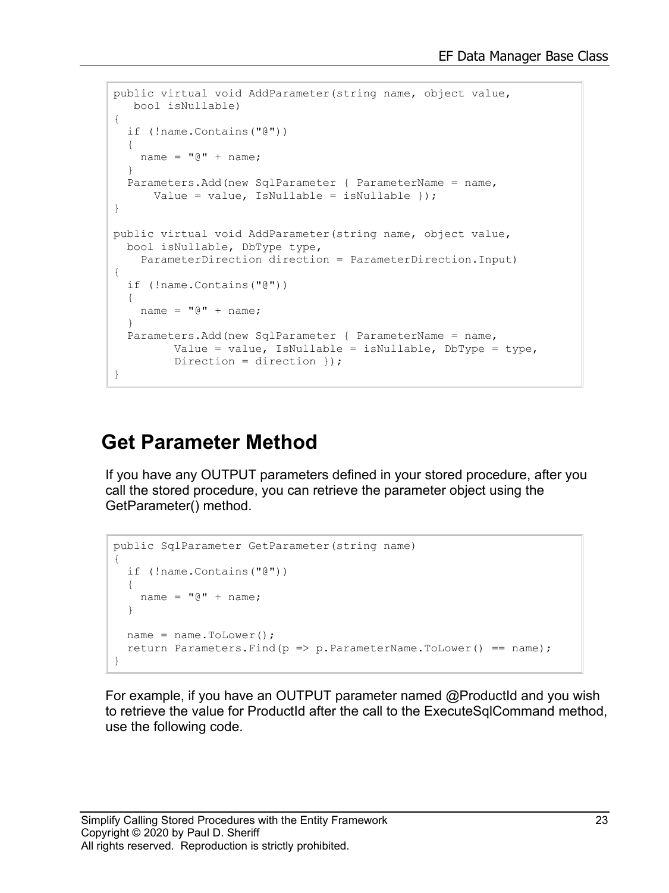```
public virtual void AddParameter(string name, object value,
   bool isNullable)
{
  if (!name.Contains("@"))
\{name = "0" + name; }
  Parameters.Add(new SqlParameter { ParameterName = name, 
      Value = value, IsNullable = isNullable \});
}
public virtual void AddParameter(string name, object value, 
  bool isNullable, DbType type,
     ParameterDirection direction = ParameterDirection.Input)
{
   if (!name.Contains("@"))
   {
   name = "0" + name; }
   Parameters.Add(new SqlParameter { ParameterName = name, 
        Value = value, IsNullable = isNullable, DbType = type,
          Direction = direction });
}
```
#### **Get Parameter Method**

If you have any OUTPUT parameters defined in your stored procedure, after you call the stored procedure, you can retrieve the parameter object using the GetParameter() method.

```
public SqlParameter GetParameter(string name)
{
   if (!name.Contains("@"))
   {
    name = "0" + name; }
 name = name.Folower();
  return Parameters.Find(p \Rightarrow p.ParameterName.ToLower() == name);
}
```
For example, if you have an OUTPUT parameter named @ProductId and you wish to retrieve the value for ProductId after the call to the ExecuteSqlCommand method, use the following code.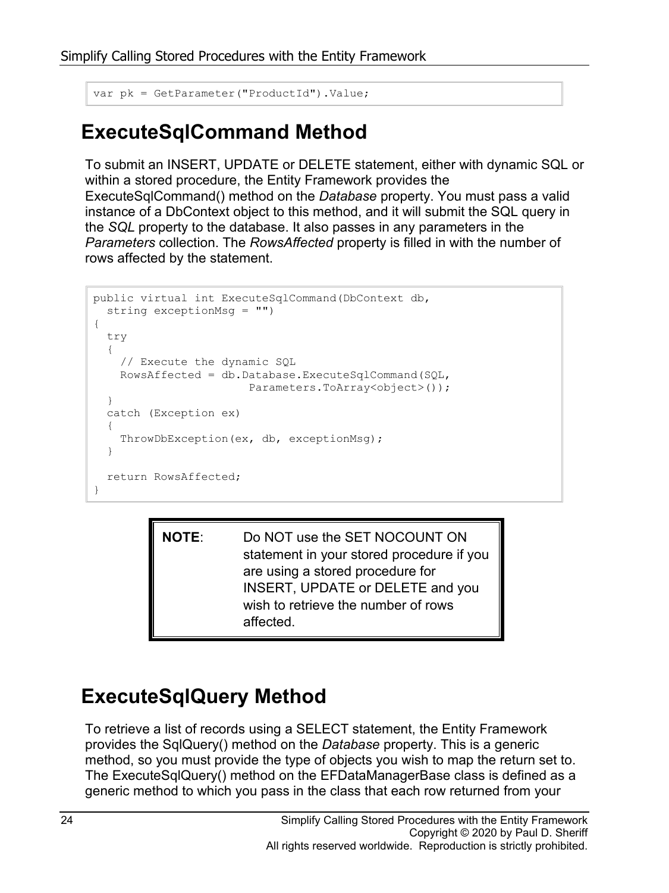```
var pk = GetParameter("ProductId").Value;
```
### **ExecuteSqlCommand Method**

To submit an INSERT, UPDATE or DELETE statement, either with dynamic SQL or within a stored procedure, the Entity Framework provides the ExecuteSqlCommand() method on the *Database* property. You must pass a valid instance of a DbContext object to this method, and it will submit the SQL query in the *SQL* property to the database. It also passes in any parameters in the *Parameters* collection. The *RowsAffected* property is filled in with the number of rows affected by the statement.

```
public virtual int ExecuteSqlCommand(DbContext db,
  string exceptionMsg = "")
{
   try
 {
     // Execute the dynamic SQL
     RowsAffected = db.Database.ExecuteSqlCommand(SQL,
                        Parameters.ToArray<object>());
   }
   catch (Exception ex)
   {
     ThrowDbException(ex, db, exceptionMsg);
   }
   return RowsAffected;
}
```
**NOTE**: Do NOT use the SET NOCOUNT ON statement in your stored procedure if you are using a stored procedure for INSERT, UPDATE or DELETE and you wish to retrieve the number of rows affected.

### **ExecuteSqlQuery Method**

To retrieve a list of records using a SELECT statement, the Entity Framework provides the SqlQuery() method on the *Database* property. This is a generic method, so you must provide the type of objects you wish to map the return set to. The ExecuteSqlQuery() method on the EFDataManagerBase class is defined as a generic method to which you pass in the class that each row returned from your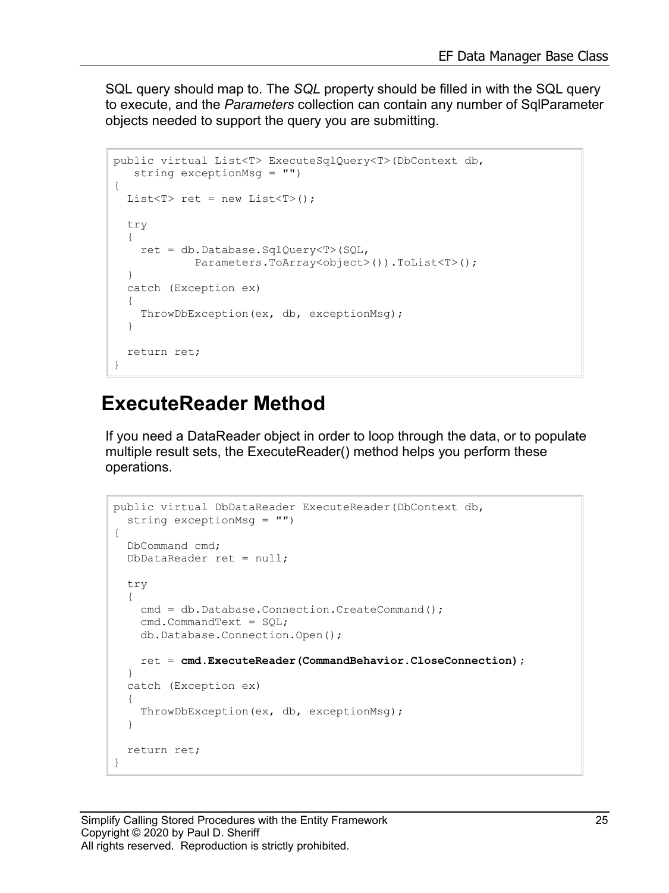SQL query should map to. The *SQL* property should be filled in with the SQL query to execute, and the *Parameters* collection can contain any number of SqlParameter objects needed to support the query you are submitting.

```
public virtual List<T> ExecuteSqlQuery<T>(DbContext db,
   string exceptionMsg = "")
{
  List<T> ret = new List < T);
   try
   {
     ret = db.Database.SqlQuery<T>(SQL,
            Parameters.ToArray<object>()).ToList<T>();
   }
  catch (Exception ex)
\{ ThrowDbException(ex, db, exceptionMsg);
   }
   return ret;
}
```
#### **ExecuteReader Method**

If you need a DataReader object in order to loop through the data, or to populate multiple result sets, the ExecuteReader() method helps you perform these operations.

```
public virtual DbDataReader ExecuteReader(DbContext db, 
   string exceptionMsg = "")
{
   DbCommand cmd;
   DbDataReader ret = null;
   try
   {
    cmd = db.Database.Connection.CreateCommand();
    cmd.CommandText = SQL;
     db.Database.Connection.Open();
     ret = cmd.ExecuteReader(CommandBehavior.CloseConnection);
   }
   catch (Exception ex)
   {
     ThrowDbException(ex, db, exceptionMsg);
   }
   return ret;
}
```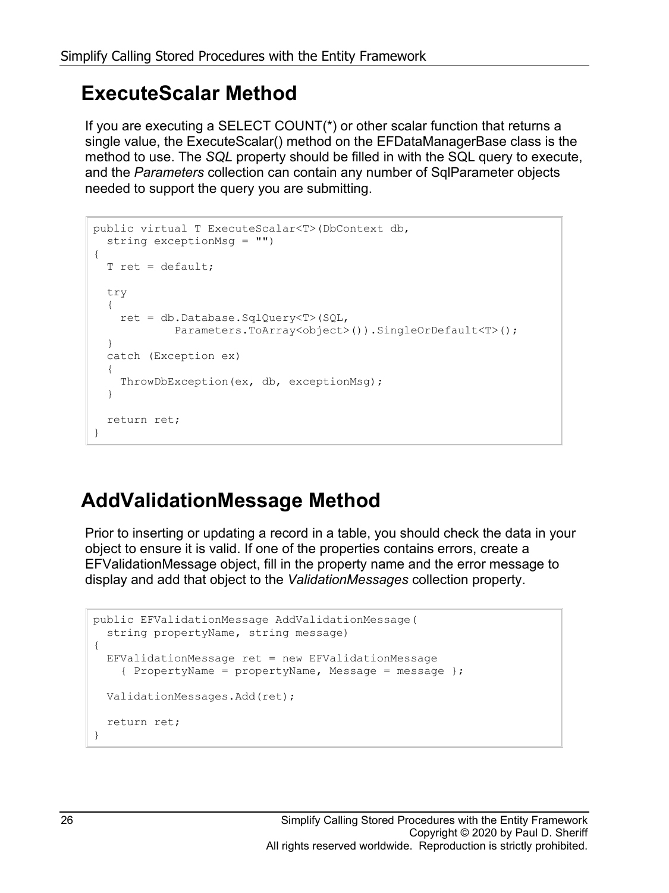### **ExecuteScalar Method**

If you are executing a SELECT COUNT(\*) or other scalar function that returns a single value, the ExecuteScalar() method on the EFDataManagerBase class is the method to use. The *SQL* property should be filled in with the SQL query to execute, and the *Parameters* collection can contain any number of SqlParameter objects needed to support the query you are submitting.

```
public virtual T ExecuteScalar<T>(DbContext db, 
   string exceptionMsg = "")
{
   T ret = default;
   try
   {
     ret = db.Database.SqlQuery<T>(SQL,
             Parameters.ToArray<object>()).SingleOrDefault<T>();
   }
   catch (Exception ex)
   {
     ThrowDbException(ex, db, exceptionMsg);
   }
   return ret;
}
```
### **AddValidationMessage Method**

Prior to inserting or updating a record in a table, you should check the data in your object to ensure it is valid. If one of the properties contains errors, create a EFValidationMessage object, fill in the property name and the error message to display and add that object to the *ValidationMessages* collection property.

```
public EFValidationMessage AddValidationMessage(
   string propertyName, string message)
{
 EFValidationMessage ret = new EFValidationMessage { PropertyName = propertyName, Message = message };
  ValidationMessages.Add(ret);
   return ret;
}
```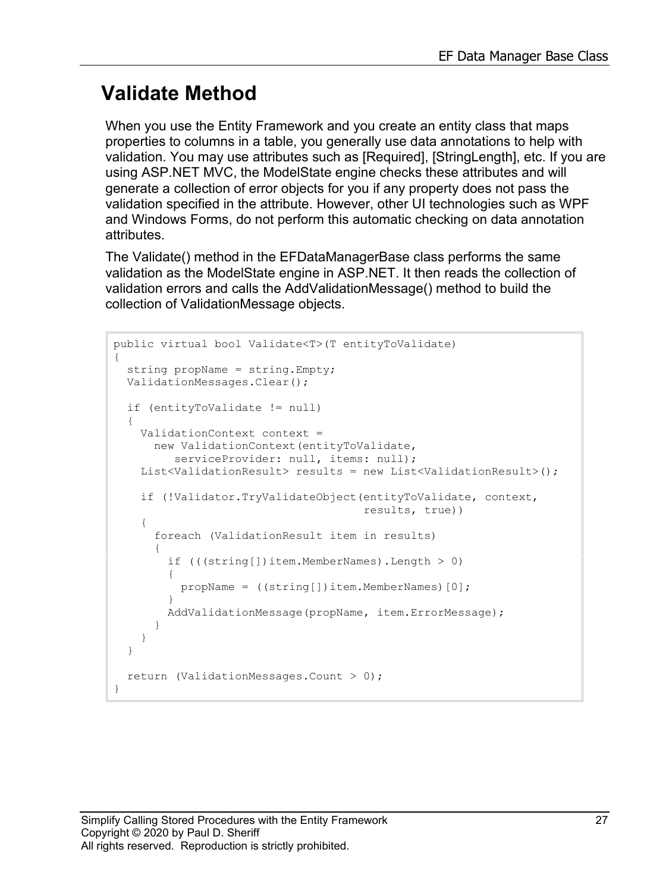### **Validate Method**

When you use the Entity Framework and you create an entity class that maps properties to columns in a table, you generally use data annotations to help with validation. You may use attributes such as [Required], [StringLength], etc. If you are using ASP.NET MVC, the ModelState engine checks these attributes and will generate a collection of error objects for you if any property does not pass the validation specified in the attribute. However, other UI technologies such as WPF and Windows Forms, do not perform this automatic checking on data annotation attributes.

The Validate() method in the EFDataManagerBase class performs the same validation as the ModelState engine in ASP.NET. It then reads the collection of validation errors and calls the AddValidationMessage() method to build the collection of ValidationMessage objects.

```
public virtual bool Validate<T>(T entityToValidate)
{
  string propName = string.Empty;
  ValidationMessages.Clear();
   if (entityToValidate != null)
 {
    ValidationContext context = 
      new ValidationContext(entityToValidate, 
        serviceProvider: null, items: null);
    List<ValidationResult> results = new List<ValidationResult>();
     if (!Validator.TryValidateObject(entityToValidate, context,
                                      results, true))
     {
       foreach (ValidationResult item in results)
 {
        if ((string[])item.MemberNames).Length > 0)
\{ propName = ((string[])item.MemberNames)[0];
 }
         AddValidationMessage(propName, item.ErrorMessage);
 }
     }
   }
  return (ValidationMessages.Count > 0);
}
```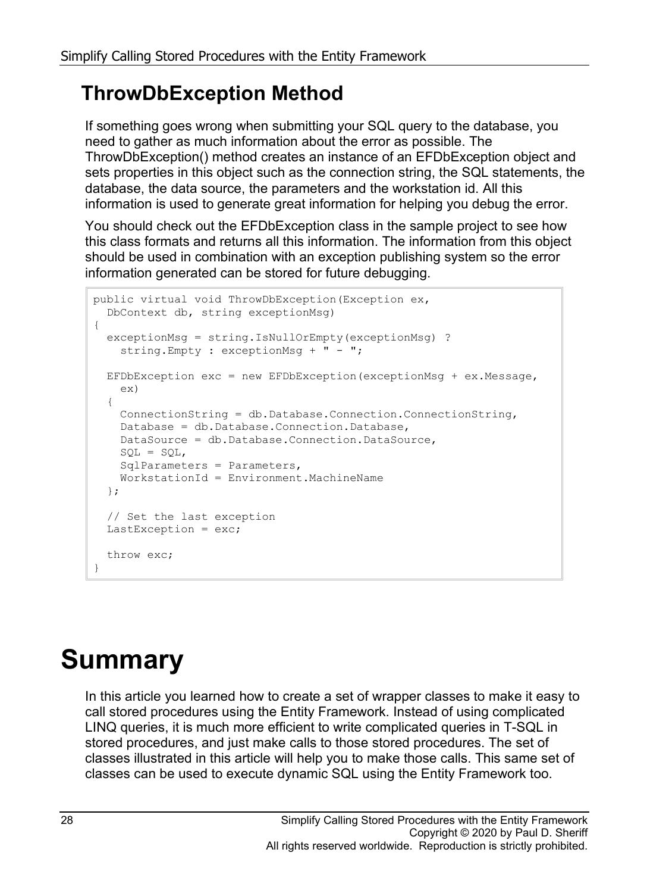### **ThrowDbException Method**

If something goes wrong when submitting your SQL query to the database, you need to gather as much information about the error as possible. The ThrowDbException() method creates an instance of an EFDbException object and sets properties in this object such as the connection string, the SQL statements, the database, the data source, the parameters and the workstation id. All this information is used to generate great information for helping you debug the error.

You should check out the EFDbException class in the sample project to see how this class formats and returns all this information. The information from this object should be used in combination with an exception publishing system so the error information generated can be stored for future debugging.

```
public virtual void ThrowDbException(Exception ex,
 DbContext db, string exceptionMsg)
{
   exceptionMsg = string.IsNullOrEmpty(exceptionMsg) ?
    string.Empty : exceptionMsg + " - ";
   EFDbException exc = new EFDbException(exceptionMsg + ex.Message,
     ex)
   {
     ConnectionString = db.Database.Connection.ConnectionString,
    Database = db.Database.Connection.Database,
    DataSource = db.Database.Connection.DataSource,
   SOL = SQL, SqlParameters = Parameters,
    WorkstationId = Environment.MachineName
   };
   // Set the last exception
  LastException = exc;
   throw exc;
}
```
## **Summary**

In this article you learned how to create a set of wrapper classes to make it easy to call stored procedures using the Entity Framework. Instead of using complicated LINQ queries, it is much more efficient to write complicated queries in T-SQL in stored procedures, and just make calls to those stored procedures. The set of classes illustrated in this article will help you to make those calls. This same set of classes can be used to execute dynamic SQL using the Entity Framework too.